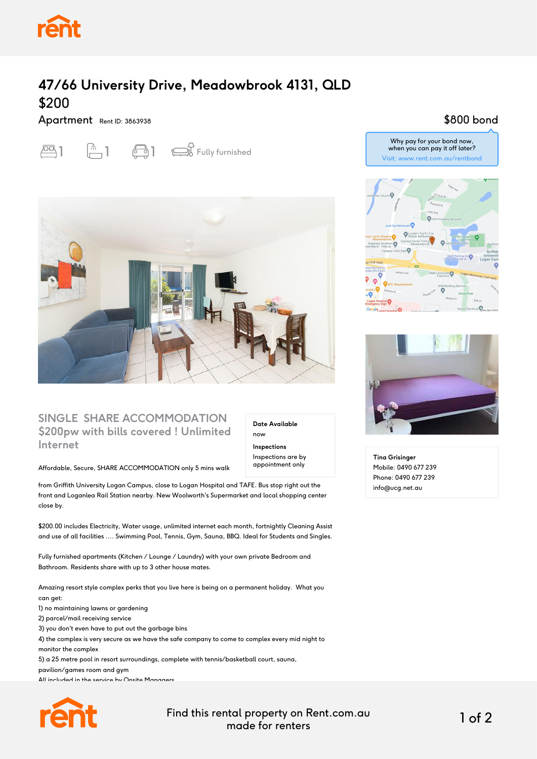

# **47/66 University Drive, Meadowbrook 4131, QLD** \$200

#### Apartment Rent ID: 3863938

# $\boxed{\triangle}$  1  $\boxed{\triangle}$  1  $\boxed{\triangle}$  1  $\boxed{\triangle}$  Fully furnished



## **SINGLE SHARE ACCOMMODATION \$200pw with bills covered ! Unlimited Internet**

**Date Available** now **Inspections** Inspections are by appointment only

#### Affordable, Secure, SHARE ACCOMMODATION only 5 mins walk

from Griffith University Logan Campus, close to Logan Hospital and TAFE. Bus stop right out the front and Loganlea Rail Station nearby. New Woolworth's Supermarket and local shopping center close by.

\$200.00 includes Electricity, Water usage, unlimited internet each month, fortnightly Cleaning Assist and use of all facilities .... Swimming Pool, Tennis, Gym, Sauna, BBQ. Ideal for Students and Singles.

Fully furnished apartments (Kitchen / Lounge / Laundry) with your own private Bedroom and Bathroom. Residents share with up to 3 other house mates.

Amazing resort style complex perks that you live here is being on a permanent holiday. What you can get: 1) no maintaining lawns or gardening 2) parcel/mail receiving service

3) you don't even have to put out the garbage bins

4) the complex is very secure as we have the safe company to come to complex every mid night to monitor the complex

5) a 25 metre pool in resort surroundings, complete with tennis/basketball court, sauna,

pavilion/games room and gym

All included in the service by Onsite Managers.



Find this rental property on Rent.com.au made for renters 1 of 2

## \$800 bond

Why pay for your bond now, when you can pay it off later? Visit: www.rent.com.au/rentbond





**Tina Grisinger** Mobile: 0490 677 239 Phone: 0490 677 239 info@ucg.net.au